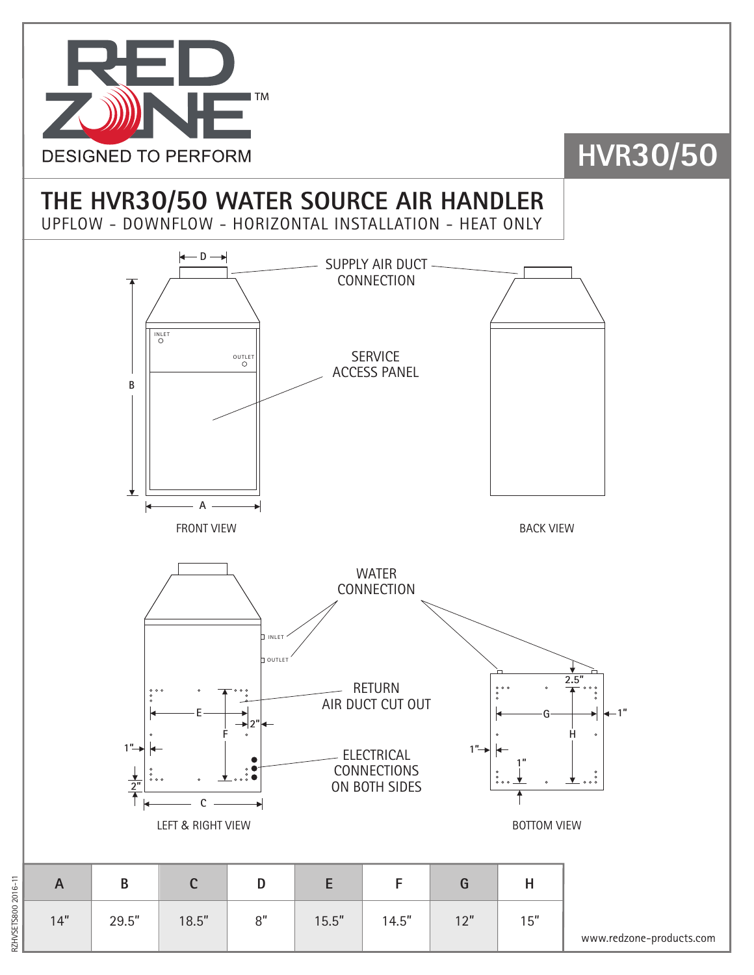

### **HVR30/50**

### **THE HVR30/50 WATER SOURCE AIR HANDLER**

UPFLOW - DOWNFLOW - HORIZONTAL INSTALLATION - HEAT ONLY



RZHVSETS800 2016-11 RZHVSETS800 2016-11

www.redzone-products.com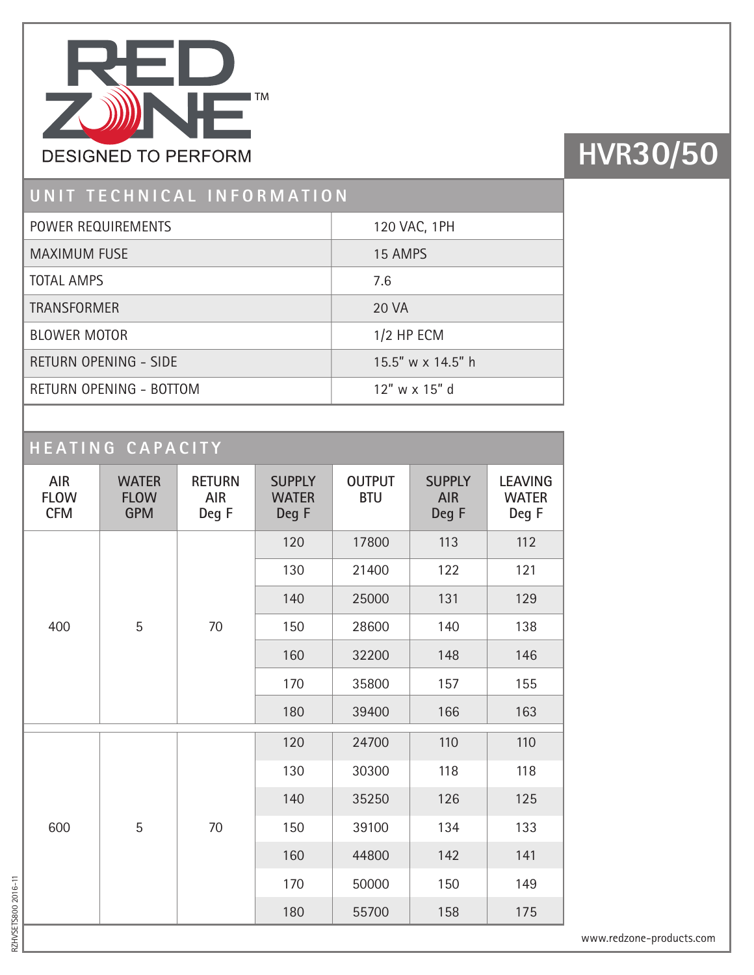

# **HVR30/50**

#### **UNIT TECHNICAL INFORMATION**

| POWER REQUIREMENTS           | 120 VAC, 1PH        |
|------------------------------|---------------------|
| <b>MAXIMUM FUSE</b>          | 15 AMPS             |
| <b>TOTAL AMPS</b>            | 7.6                 |
| <b>TRANSFORMER</b>           | 20 VA               |
| <b>BLOWER MOTOR</b>          | $1/2$ HP ECM        |
| <b>RETURN OPENING - SIDE</b> | 15.5" w x 14.5" h   |
| RETURN OPENING - BOTTOM      | $12''$ w x $15''$ d |
|                              |                     |

### **HEATING CAPACITY**

| <b>AIR</b><br><b>FLOW</b><br><b>CFM</b> | <b>WATER</b><br><b>FLOW</b><br><b>GPM</b> | <b>RETURN</b><br><b>AIR</b><br>Deg F | <b>SUPPLY</b><br><b>WATER</b><br>Deg F | <b>OUTPUT</b><br><b>BTU</b> | <b>SUPPLY</b><br><b>AIR</b><br>Deg F | <b>LEAVING</b><br><b>WATER</b><br>Deg F |
|-----------------------------------------|-------------------------------------------|--------------------------------------|----------------------------------------|-----------------------------|--------------------------------------|-----------------------------------------|
| 400                                     | 5                                         | 70                                   | 120                                    | 17800                       | 113                                  | 112                                     |
|                                         |                                           |                                      | 130                                    | 21400                       | 122                                  | 121                                     |
|                                         |                                           |                                      | 140                                    | 25000                       | 131                                  | 129                                     |
|                                         |                                           |                                      | 150                                    | 28600                       | 140                                  | 138                                     |
|                                         |                                           |                                      | 160                                    | 32200                       | 148                                  | 146                                     |
|                                         |                                           |                                      | 170                                    | 35800                       | 157                                  | 155                                     |
|                                         |                                           |                                      | 180                                    | 39400                       | 166                                  | 163                                     |
| 600                                     | 5                                         | 70                                   | 120                                    | 24700                       | 110                                  | 110                                     |
|                                         |                                           |                                      | 130                                    | 30300                       | 118                                  | 118                                     |
|                                         |                                           |                                      | 140                                    | 35250                       | 126                                  | 125                                     |
|                                         |                                           |                                      | 150                                    | 39100                       | 134                                  | 133                                     |
|                                         |                                           |                                      | 160                                    | 44800                       | 142                                  | 141                                     |
|                                         |                                           |                                      | 170                                    | 50000                       | 150                                  | 149                                     |
|                                         |                                           |                                      | 180                                    | 55700                       | 158                                  | 175                                     |

RZHVSETS800 2016-11 RZHVSETS800 2016-11